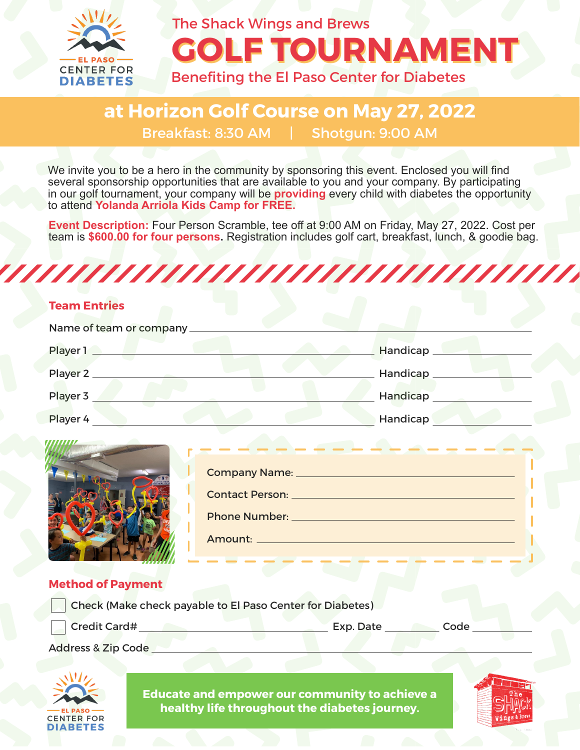

## **GOLF TOURNAMENT** The Shack Wings and Brews

### Benefiting the El Paso Center for Diabetes

### **at Horizon Golf Course on May 27, 2022** Breakfast: 8:30 AM | Shotgun: 9:00 AM

We invite you to be a hero in the community by sponsoring this event. Enclosed you will find several sponsorship opportunities that are available to you and your company. By participating in our golf tournament, your company will be **providing** every child with diabetes the opportunity to attend **Yolanda Arriola Kids Camp for FREE.**

**Event Description:** Four Person Scramble, tee off at 9:00 AM on Friday, May 27, 2022. Cost per team is **\$600.00 for four persons.** Registration includes golf cart, breakfast, lunch, & goodie bag.



#### **Team Entries**

| Name of team or company |           |
|-------------------------|-----------|
| Player 1                | Handicap  |
| Player 2                | Handicap_ |
| Player 3                | Handicap  |
| Player 4                | Handicap  |



#### **Method of Payment**

| Check (Make check payable to El Paso Center for Diabetes) |           |      |
|-----------------------------------------------------------|-----------|------|
| Credit Card#                                              | Exp. Date | Code |

Address & Zip Code



**Educate and empower our community to achieve a healthy life throughout the diabetes journey.**